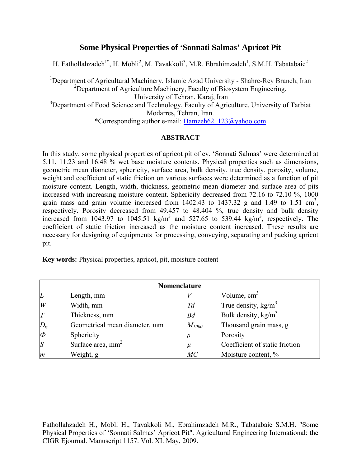# **Some Physical Properties of 'Sonnati Salmas' Apricot Pit**

H. Fathollahzadeh<sup>1\*</sup>, H. Mobli<sup>2</sup>, M. Tavakkoli<sup>3</sup>, M.R. Ebrahimzadeh<sup>1</sup>, S.M.H. Tabatabaie<sup>2</sup>

<sup>1</sup>Department of Agricultural Machinery, Islamic Azad University - Shahre-Rey Branch, Iran <sup>2</sup>Department of Agriculture Machinery, Faculty of Biosystem Engineering, University of Tehran, Karaj, Iran <sup>3</sup>Department of Food Science and Technology, Faculty of Agriculture, University of Tarbiat Modarres, Tehran, Iran. \*Corresponding author e-mail: [Hamzeh621123@yahoo.com](mailto:Hamzeh621123@yahoo.com)

### **ABSTRACT**

In this study, some physical properties of apricot pit of cv. 'Sonnati Salmas' were determined at 5.11, 11.23 and 16.48 % wet base moisture contents. Physical properties such as dimensions, geometric mean diameter, sphericity, surface area, bulk density, true density, porosity, volume, weight and coefficient of static friction on various surfaces were determined as a function of pit moisture content. Length, width, thickness, geometric mean diameter and surface area of pits increased with increasing moisture content. Sphericity decreased from 72.16 to 72.10 %, 1000 grain mass and grain volume increased from  $1402.43$  to  $1437.32$  g and  $1.49$  to  $1.51 \text{ cm}^3$ , respectively. Porosity decreased from 49.457 to 48.404 %, true density and bulk density increased from 1043.97 to 1045.51 kg/m<sup>3</sup> and 527.65 to 539.44 kg/m<sup>3</sup>, respectively. The coefficient of static friction increased as the moisture content increased. These results are necessary for designing of equipments for processing, conveying, separating and packing apricot pit.

**Key words:** Physical properties, apricot, pit, moisture content

| <b>Nomenclature</b> |                               |            |                                |  |  |  |
|---------------------|-------------------------------|------------|--------------------------------|--|--|--|
| L                   | Length, mm                    |            | Volume, $cm3$                  |  |  |  |
| W                   | Width, mm                     | Td         | True density, $kg/m3$          |  |  |  |
| $\overline{T}$      | Thickness, mm                 | Bd         | Bulk density, $\text{kg/m}^3$  |  |  |  |
| $D_g$               | Geometrical mean diameter, mm | $M_{1000}$ | Thousand grain mass, g         |  |  |  |
| $\boldsymbol{\phi}$ | Sphericity                    |            | Porosity                       |  |  |  |
| S                   | Surface area, mm <sup>2</sup> | $\mu$      | Coefficient of static friction |  |  |  |
| m                   | Weight, g                     | MC         | Moisture content, %            |  |  |  |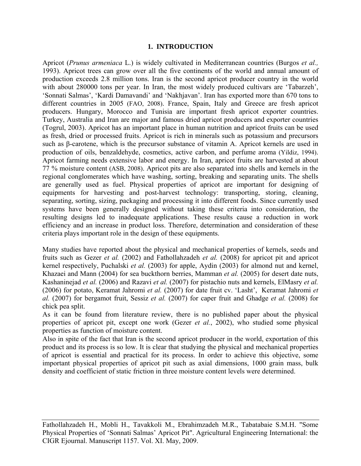### **1. INTRODUCTION**

Apricot (*Prunus armeniaca* L.) is widely cultivated in Mediterranean countries (Burgos *et al.,* 1993). Apricot trees can grow over all the five continents of the world and annual amount of production exceeds 2.8 million tons. Iran is the second apricot producer country in the world with about 280000 tons per year. In Iran, the most widely produced cultivars are 'Tabarzeh', 'Sonnati Salmas', 'Kardi Damavandi' and 'Nakhjavan'. Iran has exported more than 670 tons to different countries in 2005 (FAO, 2008). France, Spain, Italy and Greece are fresh apricot producers. Hungary, Morocco and Tunisia are important fresh apricot exporter countries. Turkey, Australia and Iran are major and famous dried apricot producers and exporter countries (Togrul, 2003). Apricot has an important place in human nutrition and apricot fruits can be used as fresh, dried or processed fruits. Apricot is rich in minerals such as potassium and precursors such as β-carotene, which is the precursor substance of vitamin A. Apricot kernels are used in production of oils, benzaldehyde, cosmetics, active carbon, and perfume aroma (Yildiz, 1994). Apricot farming needs extensive labor and energy. In Iran, apricot fruits are harvested at about 77 % moisture content (ASB, 2008). Apricot pits are also separated into shells and kernels in the regional conglomerates which have washing, sorting, breaking and separating units. The shells are generally used as fuel. Physical properties of apricot are important for designing of equipments for harvesting and post-harvest technology: transporting, storing, cleaning, separating, sorting, sizing, packaging and processing it into different foods. Since currently used systems have been generally designed without taking these criteria into consideration, the resulting designs led to inadequate applications. These results cause a reduction in work efficiency and an increase in product loss. Therefore, determination and consideration of these criteria plays important role in the design of these equipments.

Many studies have reported about the physical and mechanical properties of kernels, seeds and fruits such as Gezer *et al.* (2002) and Fathollahzadeh *et al.* (2008) for apricot pit and apricot kernel respectively, Puchalski *et al.* (2003) for apple, Aydin (2003) for almond nut and kernel, Khazaei and Mann (2004) for sea buckthorn berries, Mamman *et al.* (2005) for desert date nuts, Kashaninejad *et al.* (2006) and Razavi *et al.* (2007) for pistachio nuts and kernels, ElMasry *et al.* (2006) for potato, Keramat Jahromi *et al.* (2007) for date fruit cv. 'Lasht', Keramat Jahromi *et al.* (2007) for bergamot fruit, Sessiz *et al.* (2007) for caper fruit and Ghadge *et al.* (2008) for chick pea split.

As it can be found from literature review, there is no published paper about the physical properties of apricot pit, except one work (Gezer *et al.*, 2002), who studied some physical properties as function of moisture content.

Also in spite of the fact that Iran is the second apricot producer in the world, exportation of this product and its process is so low. It is clear that studying the physical and mechanical properties of apricot is essential and practical for its process. In order to achieve this objective, some important physical properties of apricot pit such as axial dimensions, 1000 grain mass, bulk density and coefficient of static friction in three moisture content levels were determined.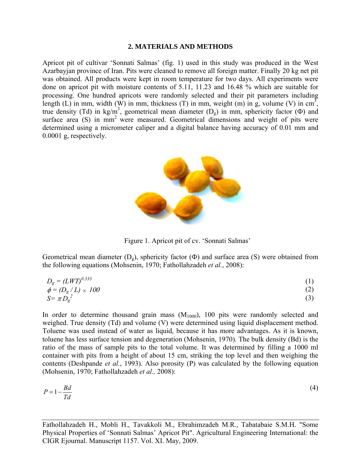#### **2. MATERIALS AND METHODS**

Apricot pit of cultivar 'Sonnati Salmas' (fig. 1) used in this study was produced in the West Azarbayjan province of Iran. Pits were cleaned to remove all foreign matter. Finally 20 kg net pit was obtained. All products were kept in room temperature for two days. All experiments were done on apricot pit with moisture contents of 5.11, 11.23 and 16.48 % which are suitable for processing. One hundred apricots were randomly selected and their pit parameters including length (L) in mm, width (W) in mm, thickness (T) in mm, weight (m) in g, volume (V) in cm<sup>3</sup>, true density (Td) in kg/m<sup>3</sup>, geometrical mean diameter  $(D_g)$  in mm, sphericity factor ( $\Phi$ ) and surface area (S) in mm<sup>2</sup> were measured. Geometrical dimensions and weight of pits were determined using a micrometer caliper and a digital balance having accuracy of 0.01 mm and 0.0001 g, respectively.



Figure 1. Apricot pit of cv. 'Sonnati Salmas'

Geometrical mean diameter  $(D_g)$ , sphericity factor  $(\Phi)$  and surface area (S) were obtained from the following equations (Mohsenin, 1970; Fathollahzadeh *et al.*, 2008):

$$
D_g = (LWT)^{0.333}
$$
  
\n
$$
\phi = (D_g/L) \times 100
$$
\n(1)

$$
S = \pi D_g^2 \tag{3}
$$

In order to determine thousand grain mass  $(M_{1000})$ , 100 pits were randomly selected and weighed. True density (Td) and volume (V) were determined using liquid displacement method. Toluene was used instead of water as liquid, because it has more advantages. As it is known, toluene has less surface tension and degeneration (Mohsenin, 1970). The bulk density (Bd) is the ratio of the mass of sample pits to the total volume. It was determined by filling a 1000 ml container with pits from a height of about 15 cm, striking the top level and then weighing the contents (Deshpande *et al.*, 1993). Also porosity (P) was calculated by the following equation (Mohsenin, 1970; Fathollahzadeh *et al.,* 2008):

$$
P = 1 - \frac{Bd}{Td} \tag{4}
$$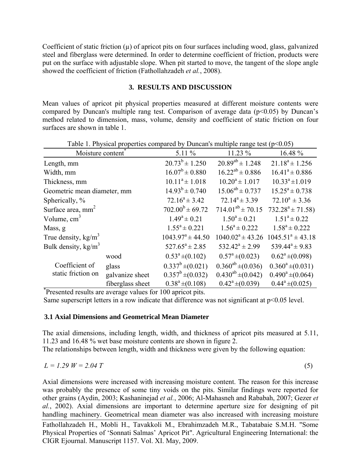Coefficient of static friction  $(\mu)$  of apricot pits on four surfaces including wood, glass, galvanized steel and fiberglass were determined. In order to determine coefficient of friction, products were put on the surface with adjustable slope. When pit started to move, the tangent of the slope angle showed the coefficient of friction (Fathollahzadeh *et al.*, 2008).

### **3. RESULTS AND DISCUSSION**

Mean values of apricot pit physical properties measured at different moisture contents were compared by Duncan's multiple rang test. Comparison of average data ( $p \le 0.05$ ) by Duncan's method related to dimension, mass, volume, density and coefficient of static friction on four surfaces are shown in table 1.

| Table 1. Physical properties compared by Duncan's multiple range lest ( $p<0.03$ ) |                  |                       |                          |                            |  |  |
|------------------------------------------------------------------------------------|------------------|-----------------------|--------------------------|----------------------------|--|--|
| Moisture content <sup>®</sup>                                                      |                  | $5.11\%$              | 11.23 %                  | 16.48 %                    |  |  |
| Length, mm                                                                         |                  | $20.73^b \pm 1.250$   | $20.89^{ab} \pm 1.248$   | $21.18^a \pm 1.256$        |  |  |
| Width, mm                                                                          |                  | $16.07^b \pm 0.880$   | $16.22^{ab} \pm 0.886$   | $16.41^a \pm 0.886$        |  |  |
| Thickness, mm                                                                      |                  | $10.11^a \pm 1.018$   | $10.20^a \pm 1.017$      | $10.33^a \pm 1.019$        |  |  |
| Geometric mean diameter, mm                                                        |                  | $14.93^b \pm 0.740$   | $15.06^{ab} \pm 0.737$   | $15.25^a \pm 0.738$        |  |  |
| Spherically, %                                                                     |                  | $72.16^a \pm 3.42$    | $72.14^a \pm 3.39$       | $72.10^a \pm 3.36$         |  |  |
| Surface area, mm <sup>2</sup>                                                      |                  | $702.00^b \pm 69.72$  | $714.01^{ab} \pm 70.15$  | $732.28^a \pm 71.58$       |  |  |
| Volume, $cm3$                                                                      |                  | $1.49^a \pm 0.21$     | $1.50^a \pm 0.21$        | $1.51^a \pm 0.22$          |  |  |
| Mass, g                                                                            |                  | $1.55^a \pm 0.221$    | $1.56^a \pm 0.222$       | $1.58^a \pm 0.222$         |  |  |
| True density, $kg/m3$                                                              |                  | $1043.97^a \pm 44.50$ | $1040.02^a \pm 43.26$    | $1045.51^a \pm 43.18$      |  |  |
| Bulk density, $kg/m3$                                                              |                  | $527.65^a \pm 2.85$   | $532.42^a \pm 2.99$      | 539.44 <sup>a</sup> ± 9.83 |  |  |
|                                                                                    | wood             | $0.53^a \pm (0.102)$  | $0.57^a \pm (0.023)$     | $0.62^a \pm (0.098)$       |  |  |
| Coefficient of                                                                     | glass            | $0.337^b \pm (0.021)$ | $0.360^{ab} \pm (0.036)$ | $0.360^a \pm (0.031)$      |  |  |
| static friction on                                                                 | galvanize sheet  | $0.357^b \pm (0.032)$ | $0.430^{ab} \pm (0.042)$ | $0.490^a \pm (0.064)$      |  |  |
|                                                                                    | fiberglass sheet | $0.38^a \pm (0.108)$  | $0.42^a \pm (0.039)$     | $0.44^a \pm (0.025)$       |  |  |
| Presented results are average values for 100 apricot pits.                         |                  |                       |                          |                            |  |  |

Table 1. Physical grounding compared by Duncan's multiple gauge test  $(p<0.05)$ 

Same superscript letters in a row indicate that difference was not significant at  $p \le 0.05$  level.

## **3.1 Axial Dimensions and Geometrical Mean Diameter**

The axial dimensions, including length, width, and thickness of apricot pits measured at 5.11, 11.23 and 16.48 % wet base moisture contents are shown in figure 2. The relationships between length, width and thickness were given by the following equation:

 $L = 1.29 \ W = 2.04 \ T$  (5)

Axial dimensions were increased with increasing moisture content. The reason for this increase was probably the presence of some tiny voids on the pits. Similar findings were reported for other grains (Aydin, 2003; Kashaninejad *et al.*, 2006; Al-Mahasneh and Rababah, 2007; Gezer *et al.*, 2002). Axial dimensions are important to determine aperture size for designing of pit handling machinery. Geometrical mean diameter was also increased with increasing moisture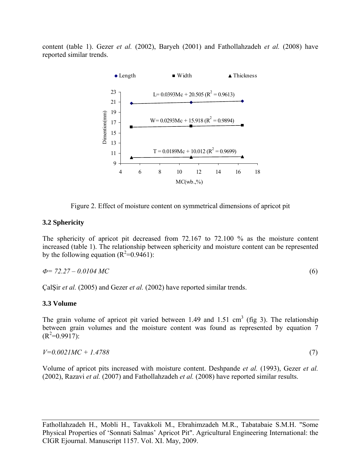content (table 1). Gezer *et al.* (2002), Baryeh (2001) and Fathollahzadeh *et al.* (2008) have reported similar trends.



Figure 2. Effect of moisture content on symmetrical dimensions of apricot pit

### **3.2 Sphericity**

The sphericity of apricot pit decreased from 72.167 to 72.100 % as the moisture content increased (table 1). The relationship between sphericity and moisture content can be represented by the following equation  $(R^2=0.9461)$ :

$$
\Phi = 72.27 - 0.0104 \, MC \tag{6}
$$

ÇalŞir *et al.* (2005) and Gezer *et al.* (2002) have reported similar trends.

## **3.3 Volume**

The grain volume of apricot pit varied between 1.49 and 1.51 cm<sup>3</sup> (fig 3). The relationship between grain volumes and the moisture content was found as represented by equation 7  $(R^2=0.9917)$ :

$$
V=0.0021MC+1.4788\tag{7}
$$

Volume of apricot pits increased with moisture content. Deshpande *et al.* (1993), Gezer *et al.* (2002), Razavi *et al.* (2007) and Fathollahzadeh *et al.* (2008) have reported similar results.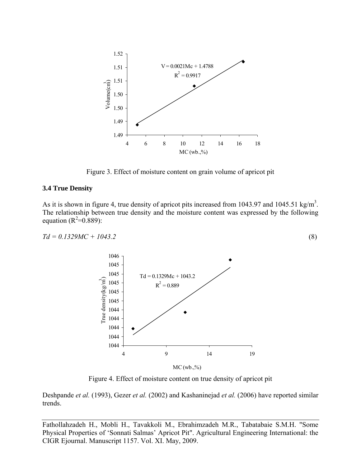

Figure 3. Effect of moisture content on grain volume of apricot pit

#### **3.4 True Density**

As it is shown in figure 4, true density of apricot pits increased from 1043.97 and 1045.51 kg/m<sup>3</sup>. The relationship between true density and the moisture content was expressed by the following equation  $(R^2=0.889)$ :

$$
Td = 0.1329MC + 1043.2 \tag{8}
$$



Figure 4. Effect of moisture content on true density of apricot pit

Deshpande *et al.* (1993), Gezer *et al.* (2002) and Kashaninejad *et al.* (2006) have reported similar trends.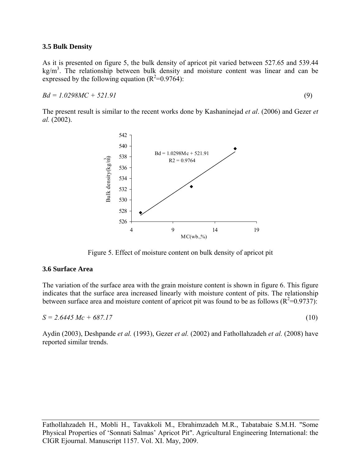### **3.5 Bulk Density**

As it is presented on figure 5, the bulk density of apricot pit varied between 527.65 and 539.44  $kg/m<sup>3</sup>$ . The relationship between bulk density and moisture content was linear and can be expressed by the following equation  $(R^2=0.9764)$ :

 $Bd = 1.0298MC + 521.91$  (9)

The present result is similar to the recent works done by Kashaninejad *et al*. (2006) and Gezer *et al.* (2002).



Figure 5. Effect of moisture content on bulk density of apricot pit

### **3.6 Surface Area**

The variation of the surface area with the grain moisture content is shown in figure 6. This figure indicates that the surface area increased linearly with moisture content of pits. The relationship between surface area and moisture content of apricot pit was found to be as follows  $(R^2=0.9737)$ .

 $S = 2.6445 Mc + 687.17$  (10)

Aydin (2003), Deshpande *et al.* (1993), Gezer *et al.* (2002) and Fathollahzadeh *et al.* (2008) have reported similar trends.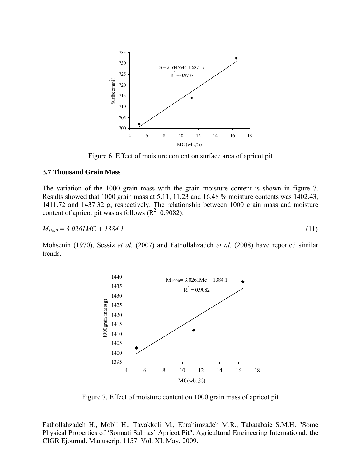

Figure 6. Effect of moisture content on surface area of apricot pit

#### **3.7 Thousand Grain Mass**

The variation of the 1000 grain mass with the grain moisture content is shown in figure 7. Results showed that 1000 grain mass at 5.11, 11.23 and 16.48 % moisture contents was 1402.43, 1411.72 and 1437.32 g, respectively. The relationship between 1000 grain mass and moisture content of apricot pit was as follows  $(R^2=0.9082)$ :

$$
M_{1000} = 3.0261MC + 1384.1 \tag{11}
$$

Mohsenin (1970), Sessiz *et al.* (2007) and Fathollahzadeh *et al.* (2008) have reported similar trends.



Figure 7. Effect of moisture content on 1000 grain mass of apricot pit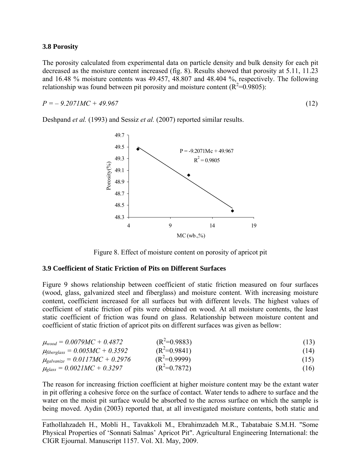### **3.8 Porosity**

The porosity calculated from experimental data on particle density and bulk density for each pit decreased as the moisture content increased (fig. 8). Results showed that porosity at 5.11, 11.23 and 16.48 % moisture contents was 49.457, 48.807 and 48.404 %, respectively. The following relationship was found between pit porosity and moisture content ( $\mathbb{R}^2$ =0.9805):

 $P = -9.2071MC + 49.967$  (12)

Deshpand *et al.* (1993) and Sessiz *et al.* (2007) reported similar results.



Figure 8. Effect of moisture content on porosity of apricot pit

### **3.9 Coefficient of Static Friction of Pits on Different Surfaces**

Figure 9 shows relationship between coefficient of static friction measured on four surfaces (wood, glass, galvanized steel and fiberglass) and moisture content. With increasing moisture content, coefficient increased for all surfaces but with different levels. The highest values of coefficient of static friction of pits were obtained on wood. At all moisture contents, the least static coefficient of friction was found on glass. Relationship between moisture content and coefficient of static friction of apricot pits on different surfaces was given as bellow:

| $\mu_{wood} = 0.0079MC + 0.4872$ | $(R^2=0.9883)$ | (13) |
|----------------------------------|----------------|------|
|                                  |                |      |

| $\mu_{\text{fiberglass}} = 0.005MC + 0.3592$ | $(R^2=0.9841)$ | (14) |
|----------------------------------------------|----------------|------|
| $\mu_{galvanize} = 0.0117MC + 0.2976$        | $(R^2=0.9999)$ | (15) |

 $\mu_{glass} = 0.0021MC + 0.3297$  $(R^2=0.7872)$  (16)

The reason for increasing friction coefficient at higher moisture content may be the extant water in pit offering a cohesive force on the surface of contact. Water tends to adhere to surface and the water on the moist pit surface would be absorbed to the across surface on which the sample is being moved. Aydin (2003) reported that, at all investigated moisture contents, both static and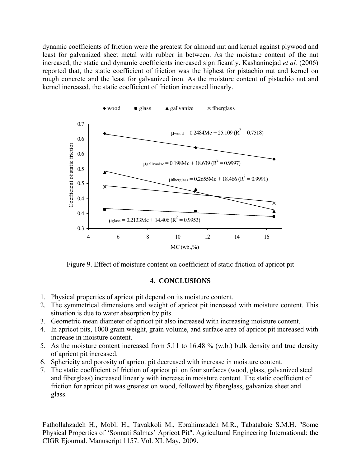dynamic coefficients of friction were the greatest for almond nut and kernel against plywood and least for galvanized sheet metal with rubber in between. As the moisture content of the nut increased, the static and dynamic coefficients increased significantly. Kashaninejad *et al.* (2006) reported that, the static coefficient of friction was the highest for pistachio nut and kernel on rough concrete and the least for galvanized iron. As the moisture content of pistachio nut and kernel increased, the static coefficient of friction increased linearly.



Figure 9. Effect of moisture content on coefficient of static friction of apricot pit

### **4. CONCLUSIONS**

- 1. Physical properties of apricot pit depend on its moisture content.
- 2. The symmetrical dimensions and weight of apricot pit increased with moisture content. This situation is due to water absorption by pits.
- 3. Geometric mean diameter of apricot pit also increased with increasing moisture content.
- 4. In apricot pits, 1000 grain weight, grain volume, and surface area of apricot pit increased with increase in moisture content.
- 5. As the moisture content increased from 5.11 to 16.48 % (w.b.) bulk density and true density of apricot pit increased.
- 6. Sphericity and porosity of apricot pit decreased with increase in moisture content.
- 7. The static coefficient of friction of apricot pit on four surfaces (wood, glass, galvanized steel and fiberglass) increased linearly with increase in moisture content. The static coefficient of friction for apricot pit was greatest on wood, followed by fiberglass, galvanize sheet and glass.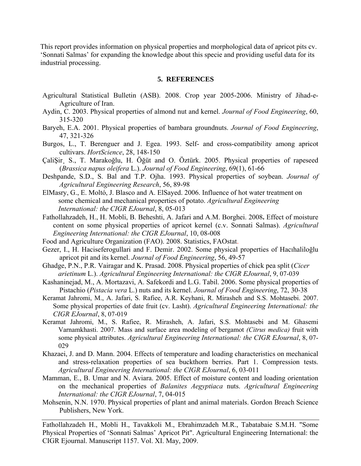This report provides information on physical properties and morphological data of apricot pits cv. 'Sonnati Salmas' for expanding the knowledge about this specie and providing useful data for its industrial processing.

### **5. REFERENCES**

- Agricultural Statistical Bulletin (ASB). 2008. Crop year 2005-2006. Ministry of Jihad-e-Agriculture of Iran.
- Aydin, C. 2003. Physical properties of almond nut and kernel. *Journal of Food Engineering*, 60, 315-320
- Baryeh, E.A. 2001. Physical properties of bambara groundnuts. *Journal of Food Engineering*, 47, 321-326
- Burgos, L., T. Berenguer and J. Egea. 1993. Self- and cross-compatibility among apricot cultivars. *HortScience*, 28, 148-150
- ÇaliŞir¸ S., T. Marakoğlu, H. Öğüt and O. Öztürk. 2005. Physical properties of rapeseed (*Brassica napus oleifera* L.). *Journal of Food Engineering*, 69(1), 61-66
- Deshpande, S.D., S. Bal and T.P. Ojha. 1993. Physical properties of soybean. *Journal of Agricultural Engineering Research*, 56, 89-98
- ElMasry, G., E. Moltó, J. Blasco and A. ElSayed. 2006. Influence of hot water treatment on some chemical and mechanical properties of potato. *Agricultural Engineering International: the CIGR EJournal*, 8, 05-013
- Fathollahzadeh, H., H. Mobli, B. Beheshti, A. Jafari and A.M. Borghei. 2008**.** Effect of moisture content on some physical properties of apricot kernel (c.v. Sonnati Salmas). *Agricultural Engineering International: the CIGR EJournal*, 10, 08-008
- Food and Agriculture Organization (FAO). 2008. Statistics, FAOstat.
- Gezer, I., H. Haciseferogullari and F. Demir. 2002. Some physical properties of Hacıhaliloğlu apricot pit and its kernel. *Journal of Food Engineering*, 56, 49-57
- Ghadge, P.N., P.R. Vairagar and K. Prasad. 2008. Physical properties of chick pea split (*Cicer arietinum* L.). *Agricultural Engineering International: the CIGR EJournal*, 9, 07-039
- Kashaninejad, M., A. Mortazavi, A. Safekordi and L.G. Tabil. 2006. Some physical properties of Pistachio (*Pistacia vera* L.) nuts and its kernel. *Journal of Food Engineering*, 72, 30-38
- Keramat Jahromi, M., A. Jafari, S. Rafiee, A.R. Keyhani, R. Mirasheh and S.S. Mohtasebi. 2007. Some physical properties of date fruit (cv. Lasht). *Agricultural Engineering International: the CIGR EJournal*, 8, 07-019
- Keramat Jahromi, M., S. Rafiee, R. Mirasheh, A. Jafari, S.S. Mohtasebi and M. Ghasemi Varnamkhasti. 2007. Mass and surface area modeling of bergamot *(Citrus medica)* fruit with some physical attributes. *Agricultural Engineering International: the CIGR EJournal*, 8, 07- 029
- Khazaei, J. and D. Mann. 2004. Effects of temperature and loading characteristics on mechanical and stress-relaxation properties of sea buckthorn berries. Part 1. Compression tests. *Agricultural Engineering International: the CIGR EJournal*, 6, 03-011
- Mamman, E., B. Umar and N. Aviara. 2005. Effect of moisture content and loading orientation on the mechanical properties of *Balanites Aegyptiaca* nuts. *Agricultural Engineering International: the CIGR EJournal*, 7, 04-015
- Mohsenin, N.N. 1970. Physical properties of plant and animal materials. Gordon Breach Science Publishers, New York.